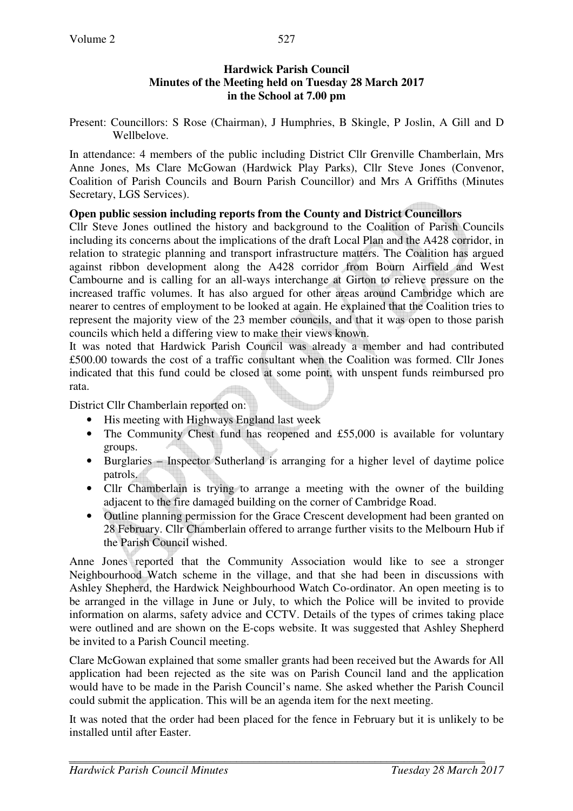#### **Hardwick Parish Council Minutes of the Meeting held on Tuesday 28 March 2017 in the School at 7.00 pm**

Present: Councillors: S Rose (Chairman), J Humphries, B Skingle, P Joslin, A Gill and D Wellbelove.

In attendance: 4 members of the public including District Cllr Grenville Chamberlain, Mrs Anne Jones, Ms Clare McGowan (Hardwick Play Parks), Cllr Steve Jones (Convenor, Coalition of Parish Councils and Bourn Parish Councillor) and Mrs A Griffiths (Minutes Secretary, LGS Services).

## **Open public session including reports from the County and District Councillors**

Cllr Steve Jones outlined the history and background to the Coalition of Parish Councils including its concerns about the implications of the draft Local Plan and the A428 corridor, in relation to strategic planning and transport infrastructure matters. The Coalition has argued against ribbon development along the A428 corridor from Bourn Airfield and West Cambourne and is calling for an all-ways interchange at Girton to relieve pressure on the increased traffic volumes. It has also argued for other areas around Cambridge which are nearer to centres of employment to be looked at again. He explained that the Coalition tries to represent the majority view of the 23 member councils, and that it was open to those parish councils which held a differing view to make their views known.

It was noted that Hardwick Parish Council was already a member and had contributed £500.00 towards the cost of a traffic consultant when the Coalition was formed. Cllr Jones indicated that this fund could be closed at some point, with unspent funds reimbursed pro rata.

District Cllr Chamberlain reported on:

- His meeting with Highways England last week
- The Community Chest fund has reopened and £55,000 is available for voluntary groups.
- Burglaries Inspector Sutherland is arranging for a higher level of daytime police patrols.
- Cllr Chamberlain is trying to arrange a meeting with the owner of the building adjacent to the fire damaged building on the corner of Cambridge Road.
- Outline planning permission for the Grace Crescent development had been granted on 28 February. Cllr Chamberlain offered to arrange further visits to the Melbourn Hub if the Parish Council wished.

Anne Jones reported that the Community Association would like to see a stronger Neighbourhood Watch scheme in the village, and that she had been in discussions with Ashley Shepherd, the Hardwick Neighbourhood Watch Co-ordinator. An open meeting is to be arranged in the village in June or July, to which the Police will be invited to provide information on alarms, safety advice and CCTV. Details of the types of crimes taking place were outlined and are shown on the E-cops website. It was suggested that Ashley Shepherd be invited to a Parish Council meeting.

Clare McGowan explained that some smaller grants had been received but the Awards for All application had been rejected as the site was on Parish Council land and the application would have to be made in the Parish Council's name. She asked whether the Parish Council could submit the application. This will be an agenda item for the next meeting.

It was noted that the order had been placed for the fence in February but it is unlikely to be installed until after Easter.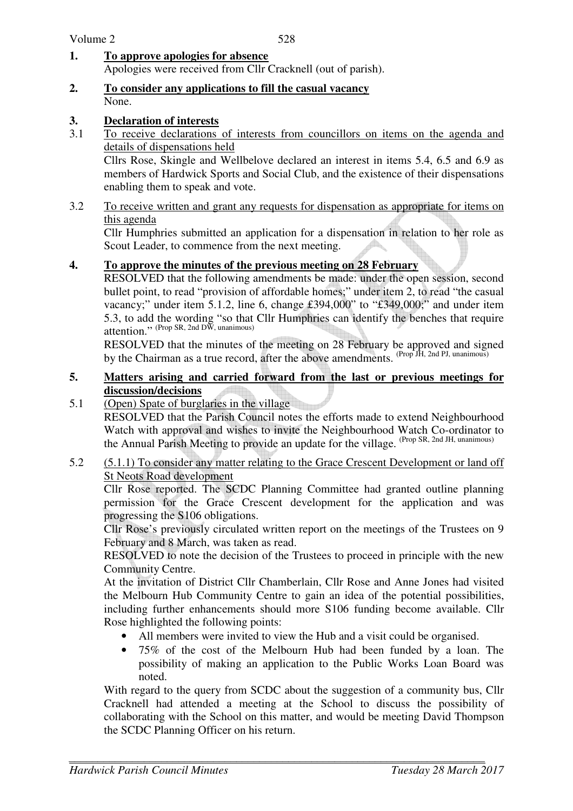- **1. To approve apologies for absence** Apologies were received from Cllr Cracknell (out of parish).
- **2. To consider any applications to fill the casual vacancy** None.
- **3. Declaration of interests**<br>**3.1** To receive declarations
- 3.1 To receive declarations of interests from councillors on items on the agenda and details of dispensations held

Cllrs Rose, Skingle and Wellbelove declared an interest in items 5.4, 6.5 and 6.9 as members of Hardwick Sports and Social Club, and the existence of their dispensations enabling them to speak and vote.

3.2 To receive written and grant any requests for dispensation as appropriate for items on this agenda

Cllr Humphries submitted an application for a dispensation in relation to her role as Scout Leader, to commence from the next meeting.

## **4. To approve the minutes of the previous meeting on 28 February**

RESOLVED that the following amendments be made: under the open session, second bullet point, to read "provision of affordable homes;" under item 2, to read "the casual vacancy;" under item 5.1.2, line 6, change £394,000" to "£349,000;" and under item 5.3, to add the wording "so that Cllr Humphries can identify the benches that require attention." (Prop SR, 2nd DW, unanimous)

RESOLVED that the minutes of the meeting on 28 February be approved and signed by the Chairman as a true record, after the above amendments. <sup>(Prop JH, 2nd PJ, unanimous)</sup>

#### **5. Matters arising and carried forward from the last or previous meetings for discussion/decisions**

5.1 (Open) Spate of burglaries in the village

 RESOLVED that the Parish Council notes the efforts made to extend Neighbourhood Watch with approval and wishes to invite the Neighbourhood Watch Co-ordinator to the Annual Parish Meeting to provide an update for the village. (Prop SR, 2nd JH, unanimous)

5.2 (5.1.1) To consider any matter relating to the Grace Crescent Development or land off St Neots Road development

Cllr Rose reported. The SCDC Planning Committee had granted outline planning permission for the Grace Crescent development for the application and was progressing the S106 obligations.

Cllr Rose's previously circulated written report on the meetings of the Trustees on 9 February and 8 March, was taken as read.

RESOLVED to note the decision of the Trustees to proceed in principle with the new Community Centre.

At the invitation of District Cllr Chamberlain, Cllr Rose and Anne Jones had visited the Melbourn Hub Community Centre to gain an idea of the potential possibilities, including further enhancements should more S106 funding become available. Cllr Rose highlighted the following points:

- All members were invited to view the Hub and a visit could be organised.
- 75% of the cost of the Melbourn Hub had been funded by a loan. The possibility of making an application to the Public Works Loan Board was noted.

With regard to the query from SCDC about the suggestion of a community bus, Cllr Cracknell had attended a meeting at the School to discuss the possibility of collaborating with the School on this matter, and would be meeting David Thompson the SCDC Planning Officer on his return.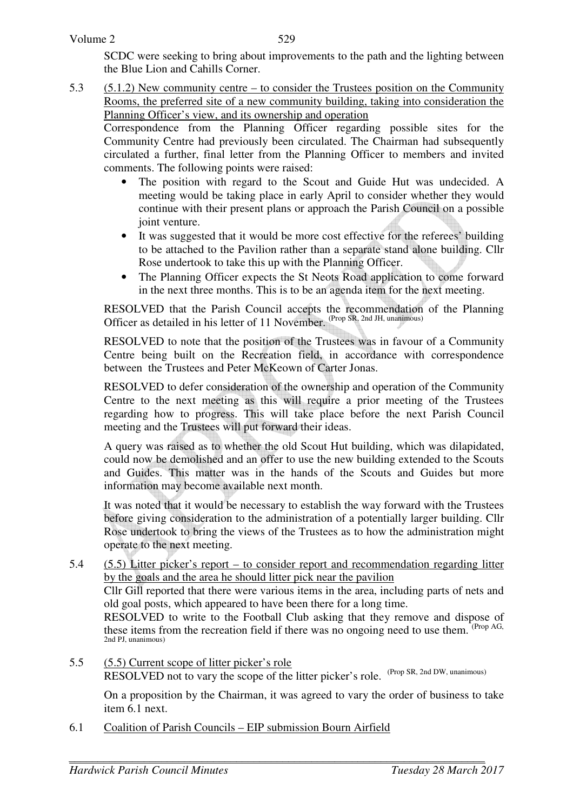SCDC were seeking to bring about improvements to the path and the lighting between the Blue Lion and Cahills Corner.

5.3 (5.1.2) New community centre – to consider the Trustees position on the Community Rooms, the preferred site of a new community building, taking into consideration the Planning Officer's view, and its ownership and operation

 Correspondence from the Planning Officer regarding possible sites for the Community Centre had previously been circulated. The Chairman had subsequently circulated a further, final letter from the Planning Officer to members and invited comments. The following points were raised:

- The position with regard to the Scout and Guide Hut was undecided. A meeting would be taking place in early April to consider whether they would continue with their present plans or approach the Parish Council on a possible joint venture.
- It was suggested that it would be more cost effective for the referees' building to be attached to the Pavilion rather than a separate stand alone building. Cllr Rose undertook to take this up with the Planning Officer.
- The Planning Officer expects the St Neots Road application to come forward in the next three months. This is to be an agenda item for the next meeting.

RESOLVED that the Parish Council accepts the recommendation of the Planning Officer as detailed in his letter of 11 November. (Prop SR, 2nd JH, unanimous)

 RESOLVED to note that the position of the Trustees was in favour of a Community Centre being built on the Recreation field, in accordance with correspondence between the Trustees and Peter McKeown of Carter Jonas.

 RESOLVED to defer consideration of the ownership and operation of the Community Centre to the next meeting as this will require a prior meeting of the Trustees regarding how to progress. This will take place before the next Parish Council meeting and the Trustees will put forward their ideas.

 A query was raised as to whether the old Scout Hut building, which was dilapidated, could now be demolished and an offer to use the new building extended to the Scouts and Guides. This matter was in the hands of the Scouts and Guides but more information may become available next month.

 It was noted that it would be necessary to establish the way forward with the Trustees before giving consideration to the administration of a potentially larger building. Cllr Rose undertook to bring the views of the Trustees as to how the administration might operate to the next meeting.

5.4 (5.5) Litter picker's report – to consider report and recommendation regarding litter by the goals and the area he should litter pick near the pavilion

 Cllr Gill reported that there were various items in the area, including parts of nets and old goal posts, which appeared to have been there for a long time.

RESOLVED to write to the Football Club asking that they remove and dispose of these items from the recreation field if there was no ongoing need to use them. <sup>(Prop AG,</sup> 2nd PJ, unanimous)

5.5 (5.5) Current scope of litter picker's role RESOLVED not to vary the scope of the litter picker's role. (Prop SR, 2nd DW, unanimous)

 On a proposition by the Chairman, it was agreed to vary the order of business to take item 6.1 next.

6.1 Coalition of Parish Councils – EIP submission Bourn Airfield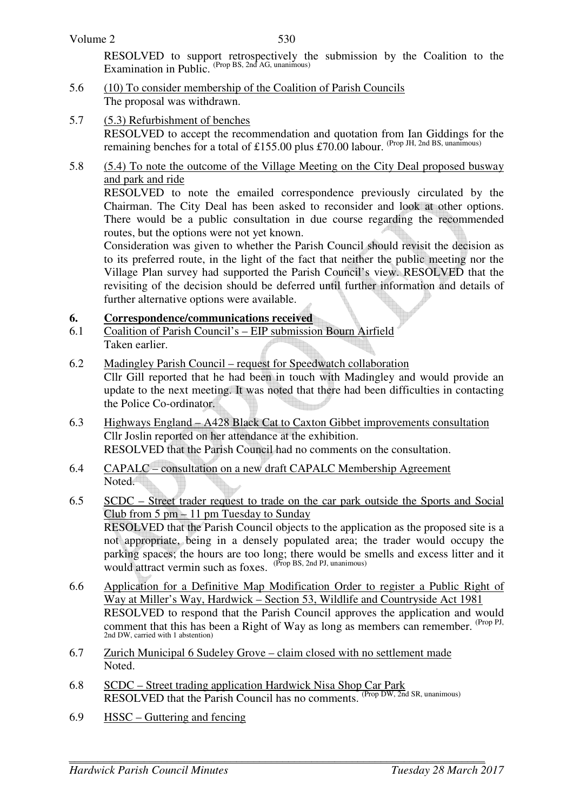| Volume 2 |  |
|----------|--|
|----------|--|

 RESOLVED to support retrospectively the submission by the Coalition to the Examination in Public. (Prop BS, 2nd AG, unanimous)

- 5.6 (10) To consider membership of the Coalition of Parish Councils The proposal was withdrawn.
- 5.7 (5.3) Refurbishment of benches RESOLVED to accept the recommendation and quotation from Ian Giddings for the remaining benches for a total of £155.00 plus £70.00 labour. (Prop JH, 2nd BS, unanimous)
- 5.8 (5.4) To note the outcome of the Village Meeting on the City Deal proposed busway and park and ride

 RESOLVED to note the emailed correspondence previously circulated by the Chairman. The City Deal has been asked to reconsider and look at other options. There would be a public consultation in due course regarding the recommended routes, but the options were not yet known.

 Consideration was given to whether the Parish Council should revisit the decision as to its preferred route, in the light of the fact that neither the public meeting nor the Village Plan survey had supported the Parish Council's view. RESOLVED that the revisiting of the decision should be deferred until further information and details of further alternative options were available.

## **6. Correspondence/communications received**

- 6.1 Coalition of Parish Council's EIP submission Bourn Airfield Taken earlier.
- 6.2 Madingley Parish Council request for Speedwatch collaboration Cllr Gill reported that he had been in touch with Madingley and would provide an update to the next meeting. It was noted that there had been difficulties in contacting the Police Co-ordinator.
- 6.3 Highways England A428 Black Cat to Caxton Gibbet improvements consultation Cllr Joslin reported on her attendance at the exhibition. RESOLVED that the Parish Council had no comments on the consultation.
- 6.4 CAPALC consultation on a new draft CAPALC Membership Agreement Noted<sup>1</sup>
- 6.5 SCDC Street trader request to trade on the car park outside the Sports and Social Club from 5 pm – 11 pm Tuesday to Sunday RESOLVED that the Parish Council objects to the application as the proposed site is a not appropriate, being in a densely populated area; the trader would occupy the parking spaces; the hours are too long; there would be smells and excess litter and it would attract vermin such as foxes. (Prop BS, 2nd PJ, unanimous)
- 6.6 Application for a Definitive Map Modification Order to register a Public Right of Way at Miller's Way, Hardwick – Section 53, Wildlife and Countryside Act 1981 RESOLVED to respond that the Parish Council approves the application and would comment that this has been a Right of Way as long as members can remember. <sup>(Prop PJ,</sup> 2nd DW, carried with 1 abstention)
- 6.7 Zurich Municipal 6 Sudeley Grove claim closed with no settlement made Noted.
- 6.8 SCDC Street trading application Hardwick Nisa Shop Car Park RESOLVED that the Parish Council has no comments. (Prop DW, 2nd SR, unanimous)
- 6.9 HSSC Guttering and fencing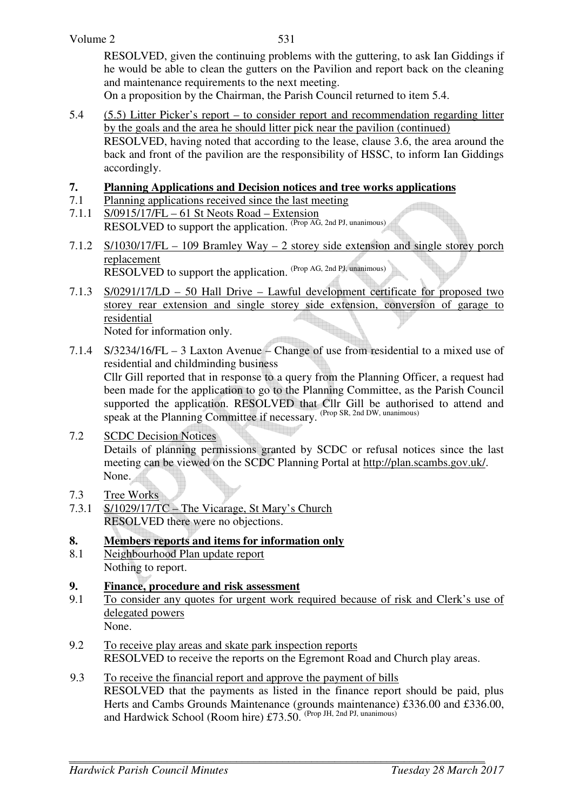RESOLVED, given the continuing problems with the guttering, to ask Ian Giddings if he would be able to clean the gutters on the Pavilion and report back on the cleaning and maintenance requirements to the next meeting.

On a proposition by the Chairman, the Parish Council returned to item 5.4.

- 5.4 (5.5) Litter Picker's report to consider report and recommendation regarding litter by the goals and the area he should litter pick near the pavilion (continued) RESOLVED, having noted that according to the lease, clause 3.6, the area around the back and front of the pavilion are the responsibility of HSSC, to inform Ian Giddings accordingly.
- **7. Planning Applications and Decision notices and tree works applications**<br> **7.1** Planning applications received since the last meeting
- Planning applications received since the last meeting
- 7.1.1 S/0915/17/FL 61 St Neots Road Extension RESOLVED to support the application. (Prop AG, 2nd PJ, unanimous)
- 7.1.2 S/1030/17/FL 109 Bramley Way 2 storey side extension and single storey porch replacement RESOLVED to support the application. (Prop AG, 2nd PJ, unanimous)
- 7.1.3 S/0291/17/LD 50 Hall Drive Lawful development certificate for proposed two storey rear extension and single storey side extension, conversion of garage to residential Noted for information only.
- 7.1.4 S/3234/16/FL 3 Laxton Avenue Change of use from residential to a mixed use of residential and childminding business Cllr Gill reported that in response to a query from the Planning Officer, a request had been made for the application to go to the Planning Committee, as the Parish Council supported the application. RESOLVED that Cllr Gill be authorised to attend and speak at the Planning Committee if necessary. (Prop SR, 2nd DW, unanimous)
- 7.2 SCDC Decision Notices Details of planning permissions granted by SCDC or refusal notices since the last meeting can be viewed on the SCDC Planning Portal at http://plan.scambs.gov.uk/. None.
- 7.3 Tree Works
- 7.3.1 S/1029/17/TC The Vicarage, St Mary's Church RESOLVED there were no objections.
- **8. Members reports and items for information only**
- 8.1 Neighbourhood Plan update report Nothing to report.

# **9. Finance, procedure and risk assessment**<br>**9.1** To consider any quotes for urgent work re

- To consider any quotes for urgent work required because of risk and Clerk's use of delegated powers None.
- 9.2 To receive play areas and skate park inspection reports RESOLVED to receive the reports on the Egremont Road and Church play areas.
- 9.3 To receive the financial report and approve the payment of bills RESOLVED that the payments as listed in the finance report should be paid, plus Herts and Cambs Grounds Maintenance (grounds maintenance) £336.00 and £336.00, and Hardwick School (Room hire) £73.50. (Prop JH, 2nd PJ, unanimous)